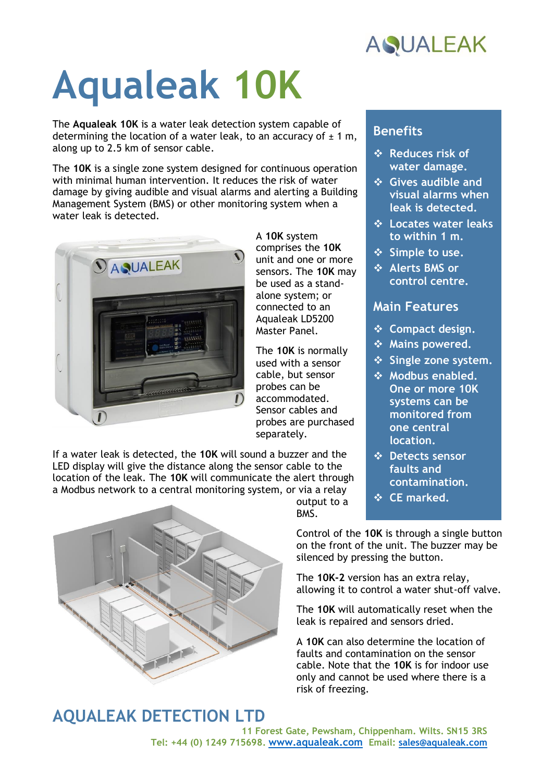

# **Aqualeak 10K**

The **Aqualeak 10K** is a water leak detection system capable of determining the location of a water leak, to an accuracy of  $\pm$  1 m, along up to 2.5 km of sensor cable.

The **10K** is a single zone system designed for continuous operation with minimal human intervention. It reduces the risk of water damage by giving audible and visual alarms and alerting a Building Management System (BMS) or other monitoring system when a water leak is detected.



A **10K** system comprises the **10K** unit and one or more sensors. The **10K** may be used as a standalone system; or connected to an Aqualeak LD5200 Master Panel.

The **10K** is normally used with a sensor cable, but sensor probes can be accommodated. Sensor cables and probes are purchased separately.

output to a

BMS.

If a water leak is detected, the **10K** will sound a buzzer and the LED display will give the distance along the sensor cable to the location of the leak. The **10K** will communicate the alert through a Modbus network to a central monitoring system, or via a relay



#### **Benefits**

- ❖ **Reduces risk of water damage.**
- ❖ **Gives audible and visual alarms when leak is detected.**
- ❖ **Locates water leaks to within 1 m.**
- ❖ **Simple to use.**
- ❖ **Alerts BMS or control centre.**

#### **Main Features**

- ❖ **Compact design.**
- ❖ **Mains powered.**
- ❖ **Single zone system.**
- ❖ **Modbus enabled. One or more 10K systems can be monitored from one central location.**
- ❖ **Detects sensor faults and contamination.**
- ❖ **CE marked.**

Control of the **10K** is through a single button on the front of the unit. The buzzer may be silenced by pressing the button.

The **10K-2** version has an extra relay, allowing it to control a water shut-off valve.

The **10K** will automatically reset when the leak is repaired and sensors dried.

A **10K** can also determine the location of faults and contamination on the sensor cable. Note that the **10K** is for indoor use only and cannot be used where there is a risk of freezing.

### **AQUALEAK DETECTION LTD**

**11 Forest Gate, Pewsham, Chippenham. Wilts. SN15 3RS Tel: +44 (0) 1249 715698. [www.aqualeak.com](http://www.aqualeak.com/) Email: [sales@aqualeak.com](mailto:sales@aqualeak.com)**